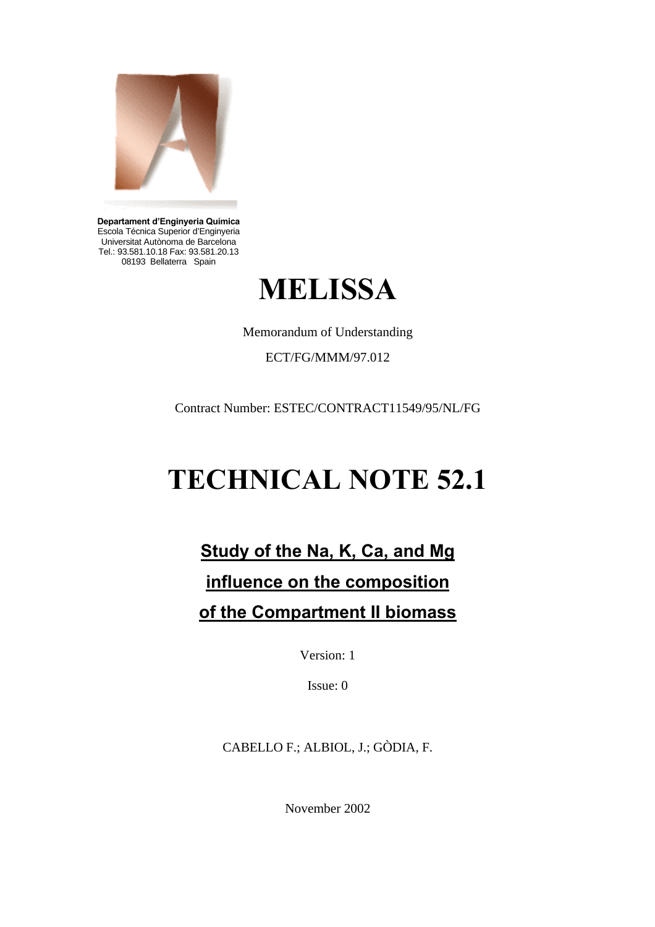

**Departament d'Enginyeria Química** Escola Técnica Superior d'Enginyeria Universitat Autònoma de Barcelona Tel.: 93.581.10.18 Fax: 93.581.20.13 08193 Bellaterra Spain



Memorandum of Understanding

ECT/FG/MMM/97.012

Contract Number: ESTEC/CONTRACT11549/95/NL/FG

# **TECHNICAL NOTE 52.1**

## **Study of the Na, K, Ca, and Mg influence on the composition of the Compartment II biomass**

Version: 1

Issue: 0

CABELLO F.; ALBIOL, J.; GÒDIA, F.

November 2002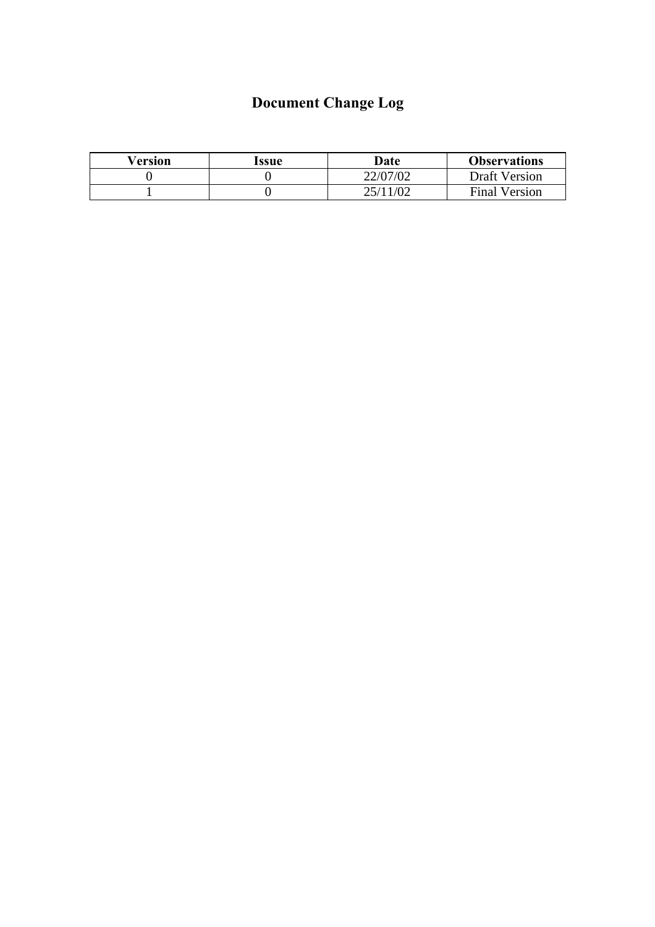## **Document Change Log**

| Version | Issue | Date     | <b>Observations</b>  |
|---------|-------|----------|----------------------|
|         |       | 22/07/02 | <b>Draft Version</b> |
|         |       | 25/11/02 | <b>Final Version</b> |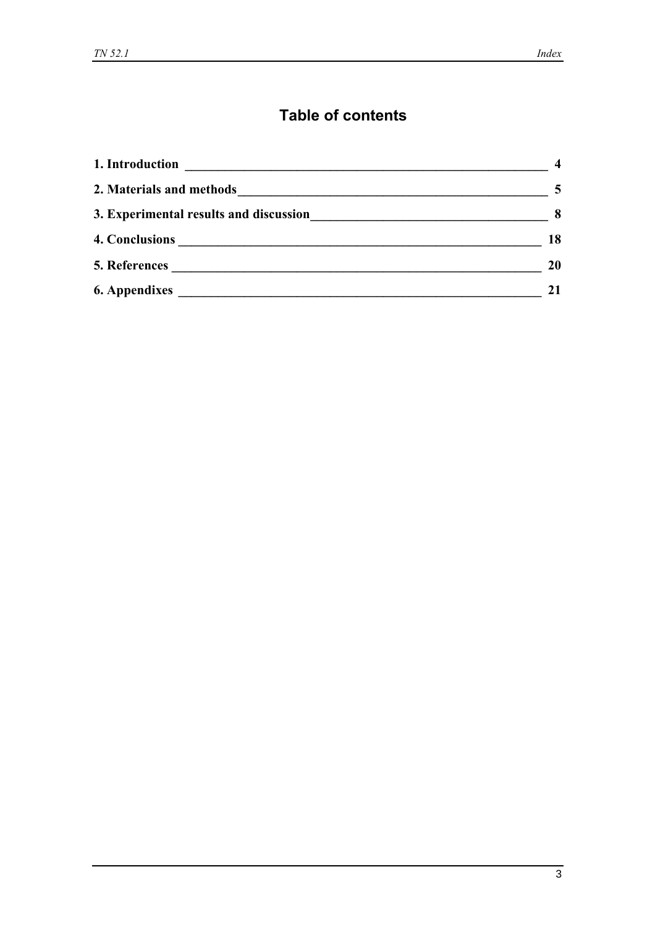## **Table of contents**

| 1. Introduction<br><u> 1989 - Andrea State Barbara, amerikan personal di personal dengan personal dengan personal dengan personal de</u> |           |
|------------------------------------------------------------------------------------------------------------------------------------------|-----------|
| 2. Materials and methods                                                                                                                 | 5         |
| 3. Experimental results and discussion<br><u> 1989 - Johann Stoff, amerikansk politiker (d. 1989)</u>                                    | 8         |
| 4. Conclusions                                                                                                                           | 18        |
|                                                                                                                                          | <b>20</b> |
| <b>6. Appendixes</b>                                                                                                                     |           |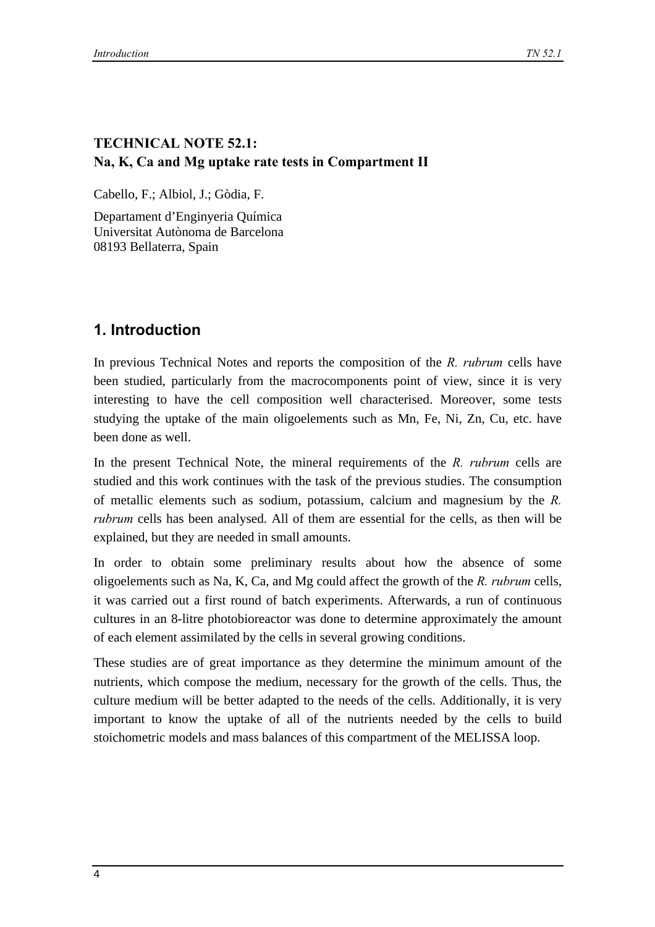#### **TECHNICAL NOTE 52.1: Na, K, Ca and Mg uptake rate tests in Compartment II**

Cabello, F.; Albiol, J.; Gòdia, F.

Departament d'Enginyeria Química Universitat Autònoma de Barcelona 08193 Bellaterra, Spain

## **1. Introduction**

In previous Technical Notes and reports the composition of the *R. rubrum* cells have been studied, particularly from the macrocomponents point of view, since it is very interesting to have the cell composition well characterised. Moreover, some tests studying the uptake of the main oligoelements such as Mn, Fe, Ni, Zn, Cu, etc. have been done as well.

In the present Technical Note, the mineral requirements of the *R. rubrum* cells are studied and this work continues with the task of the previous studies. The consumption of metallic elements such as sodium, potassium, calcium and magnesium by the *R. rubrum* cells has been analysed. All of them are essential for the cells, as then will be explained, but they are needed in small amounts.

In order to obtain some preliminary results about how the absence of some oligoelements such as Na, K, Ca, and Mg could affect the growth of the *R. rubrum* cells, it was carried out a first round of batch experiments. Afterwards, a run of continuous cultures in an 8-litre photobioreactor was done to determine approximately the amount of each element assimilated by the cells in several growing conditions.

These studies are of great importance as they determine the minimum amount of the nutrients, which compose the medium, necessary for the growth of the cells. Thus, the culture medium will be better adapted to the needs of the cells. Additionally, it is very important to know the uptake of all of the nutrients needed by the cells to build stoichometric models and mass balances of this compartment of the MELISSA loop.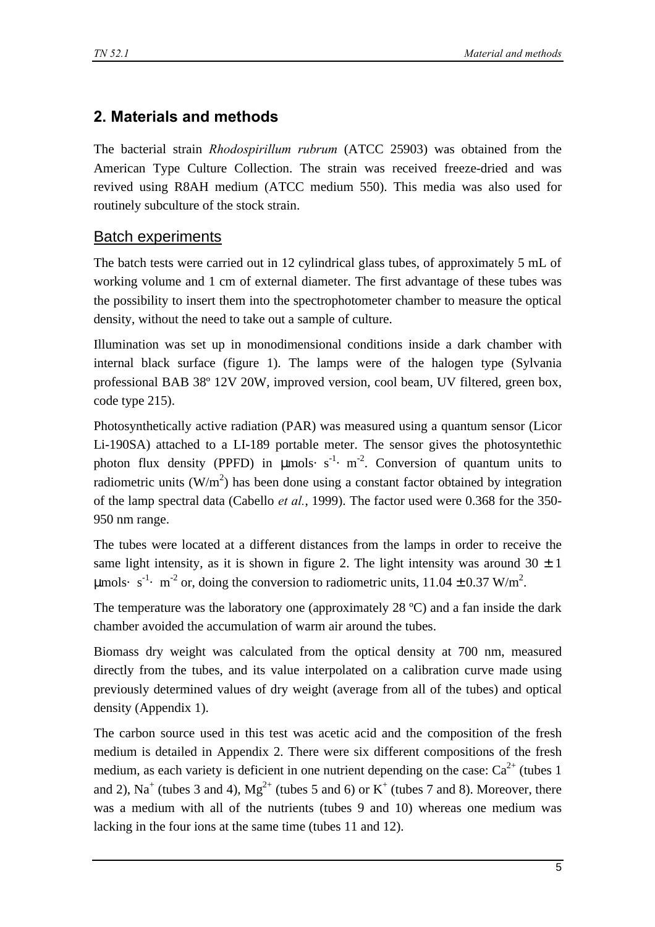## **2. Materials and methods**

The bacterial strain *Rhodospirillum rubrum* (ATCC 25903) was obtained from the American Type Culture Collection. The strain was received freeze-dried and was revived using R8AH medium (ATCC medium 550). This media was also used for routinely subculture of the stock strain.

## Batch experiments

The batch tests were carried out in 12 cylindrical glass tubes, of approximately 5 mL of working volume and 1 cm of external diameter. The first advantage of these tubes was the possibility to insert them into the spectrophotometer chamber to measure the optical density, without the need to take out a sample of culture.

Illumination was set up in monodimensional conditions inside a dark chamber with internal black surface (figure 1). The lamps were of the halogen type (Sylvania professional BAB 38º 12V 20W, improved version, cool beam, UV filtered, green box, code type 215).

Photosynthetically active radiation (PAR) was measured using a quantum sensor (Licor Li-190SA) attached to a LI-189 portable meter. The sensor gives the photosyntethic photon flux density (PPFD) in  $\mu$ mols· s<sup>-1</sup>· m<sup>-2</sup>. Conversion of quantum units to radiometric units  $(W/m^2)$  has been done using a constant factor obtained by integration of the lamp spectral data (Cabello *et al.*, 1999). The factor used were 0.368 for the 350- 950 nm range.

The tubes were located at a different distances from the lamps in order to receive the same light intensity, as it is shown in figure 2. The light intensity was around  $30 \pm 1$ μmols· s<sup>-1</sup>· m<sup>-2</sup> or, doing the conversion to radiometric units, 11.04  $\pm$  0.37 W/m<sup>2</sup>.

The temperature was the laboratory one (approximately 28 ºC) and a fan inside the dark chamber avoided the accumulation of warm air around the tubes.

Biomass dry weight was calculated from the optical density at 700 nm, measured directly from the tubes, and its value interpolated on a calibration curve made using previously determined values of dry weight (average from all of the tubes) and optical density (Appendix 1).

The carbon source used in this test was acetic acid and the composition of the fresh medium is detailed in Appendix 2. There were six different compositions of the fresh medium, as each variety is deficient in one nutrient depending on the case:  $Ca^{2+}$  (tubes 1) and 2), Na<sup>+</sup> (tubes 3 and 4),  $Mg^{2+}$  (tubes 5 and 6) or K<sup>+</sup> (tubes 7 and 8). Moreover, there was a medium with all of the nutrients (tubes 9 and 10) whereas one medium was lacking in the four ions at the same time (tubes 11 and 12).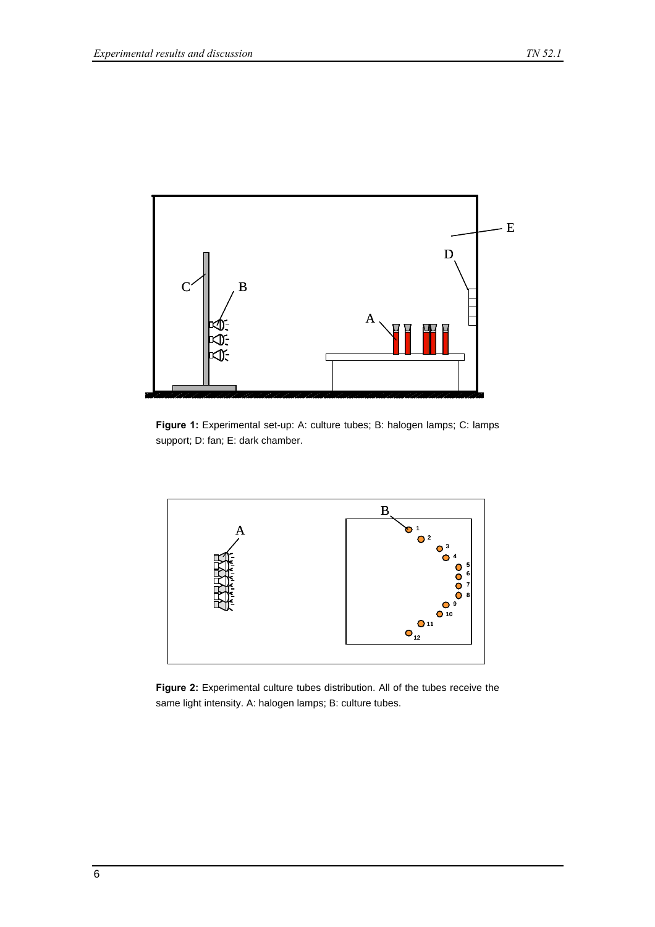

**Figure 1:** Experimental set-up: A: culture tubes; B: halogen lamps; C: lamps support; D: fan; E: dark chamber.



**Figure 2:** Experimental culture tubes distribution. All of the tubes receive the same light intensity. A: halogen lamps; B: culture tubes.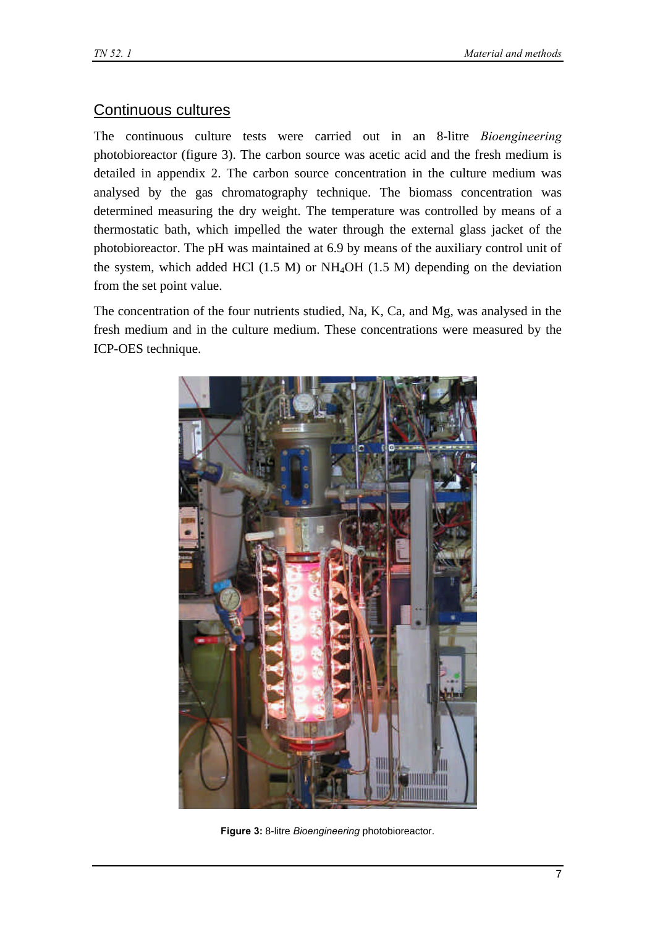#### Continuous cultures

The continuous culture tests were carried out in an 8-litre *Bioengineering* photobioreactor (figure 3). The carbon source was acetic acid and the fresh medium is detailed in appendix 2. The carbon source concentration in the culture medium was analysed by the gas chromatography technique. The biomass concentration was determined measuring the dry weight. The temperature was controlled by means of a thermostatic bath, which impelled the water through the external glass jacket of the photobioreactor. The pH was maintained at 6.9 by means of the auxiliary control unit of the system, which added HCl (1.5 M) or NH4OH (1.5 M) depending on the deviation from the set point value.

The concentration of the four nutrients studied, Na, K, Ca, and Mg, was analysed in the fresh medium and in the culture medium. These concentrations were measured by the ICP-OES technique.



**Figure 3:** 8-litre *Bioengineering* photobioreactor.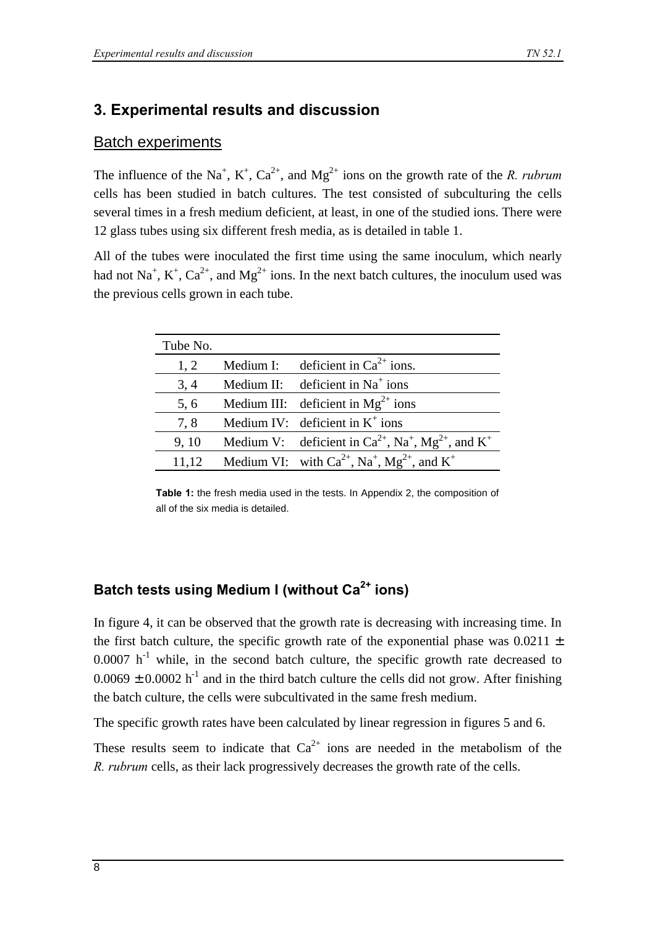## **3. Experimental results and discussion**

#### Batch experiments

The influence of the Na<sup>+</sup>, K<sup>+</sup>, Ca<sup>2+</sup>, and Mg<sup>2+</sup> ions on the growth rate of the *R. rubrum* cells has been studied in batch cultures. The test consisted of subculturing the cells several times in a fresh medium deficient, at least, in one of the studied ions. There were 12 glass tubes using six different fresh media, as is detailed in table 1.

All of the tubes were inoculated the first time using the same inoculum, which nearly had not Na<sup>+</sup>, K<sup>+</sup>, Ca<sup>2+</sup>, and Mg<sup>2+</sup> ions. In the next batch cultures, the inoculum used was the previous cells grown in each tube.

| Tube No. |           |                                                                                            |
|----------|-----------|--------------------------------------------------------------------------------------------|
| 1, 2     | Medium I: | deficient in $Ca^{2+}$ ions.                                                               |
| 3, 4     |           | Medium II: deficient in $Na+$ ions                                                         |
| 5, 6     |           | Medium III: deficient in $Mg^{2+}$ ions                                                    |
| 7,8      |           | Medium IV: deficient in $K^+$ ions                                                         |
| 9, 10    |           | Medium V: deficient in $Ca^{2+}$ , Na <sup>+</sup> , Mg <sup>2+</sup> , and K <sup>+</sup> |
| 11,12    |           | Medium VI: with $Ca^{2+}$ , Na <sup>+</sup> , Mg <sup>2+</sup> , and K <sup>+</sup>        |

**Table 1:** the fresh media used in the tests. In Appendix 2, the composition of all of the six media is detailed.

## **Batch tests using Medium I (without Ca2+ ions)**

In figure 4, it can be observed that the growth rate is decreasing with increasing time. In the first batch culture, the specific growth rate of the exponential phase was  $0.0211 \pm$  $0.0007$  h<sup>-1</sup> while, in the second batch culture, the specific growth rate decreased to  $0.0069 \pm 0.0002$  h<sup>-1</sup> and in the third batch culture the cells did not grow. After finishing the batch culture, the cells were subcultivated in the same fresh medium.

The specific growth rates have been calculated by linear regression in figures 5 and 6.

These results seem to indicate that  $Ca^{2+}$  ions are needed in the metabolism of the *R. rubrum* cells, as their lack progressively decreases the growth rate of the cells.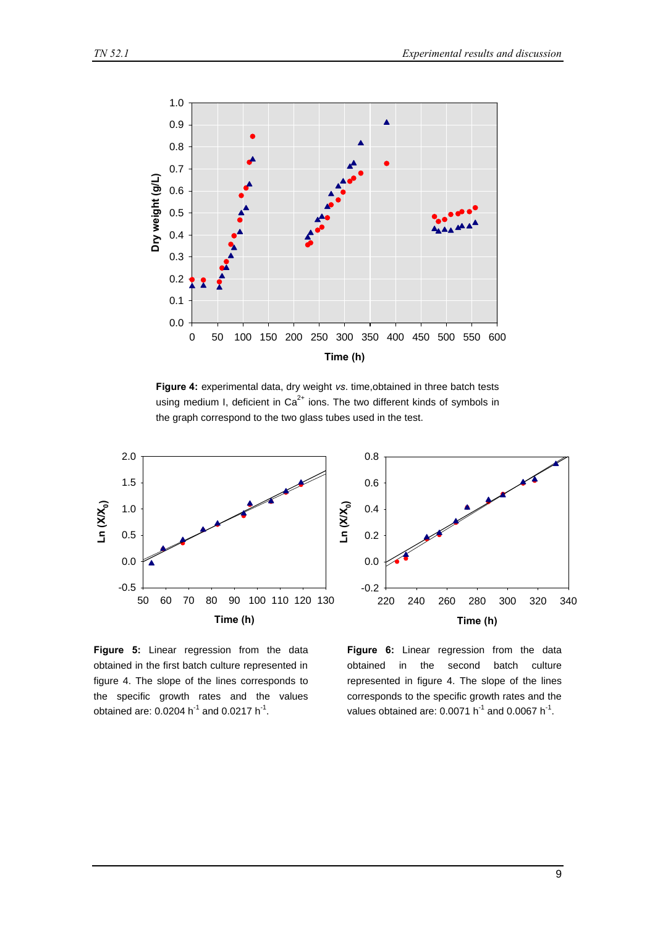

**Figure 4:** experimental data, dry weight *vs*. time,obtained in three batch tests using medium I, deficient in  $Ca^{2+}$  ions. The two different kinds of symbols in the graph correspond to the two glass tubes used in the test.



**Figure 5:** Linear regression from the data obtained in the first batch culture represented in figure 4. The slope of the lines corresponds to the specific growth rates and the values obtained are: 0.0204 h<sup>-1</sup> and 0.0217 h<sup>-1</sup>.

**Figure 6:** Linear regression from the data obtained in the second batch culture represented in figure 4. The slope of the lines corresponds to the specific growth rates and the values obtained are: 0.0071 h<sup>-1</sup> and 0.0067 h<sup>-1</sup>.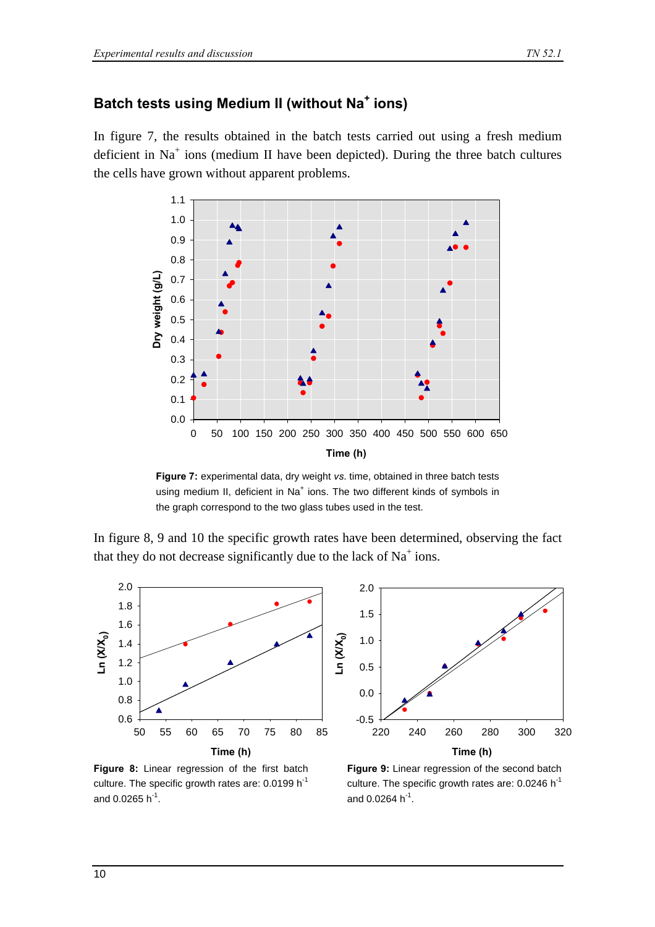## **Batch tests using Medium II (without Na<sup>+</sup> ions)**

In figure 7, the results obtained in the batch tests carried out using a fresh medium deficient in  $Na<sup>+</sup>$  ions (medium II have been depicted). During the three batch cultures the cells have grown without apparent problems.



**Figure 7:** experimental data, dry weight *vs*. time, obtained in three batch tests using medium II, deficient in Na<sup>+</sup> ions. The two different kinds of symbols in the graph correspond to the two glass tubes used in the test.

In figure 8, 9 and 10 the specific growth rates have been determined, observing the fact that they do not decrease significantly due to the lack of  $Na<sup>+</sup>$  ions.



**Figure 8:** Linear regression of the first batch culture. The specific growth rates are: 0.0199 h<sup>-1</sup> and 0.0265 h<sup>-1</sup>.



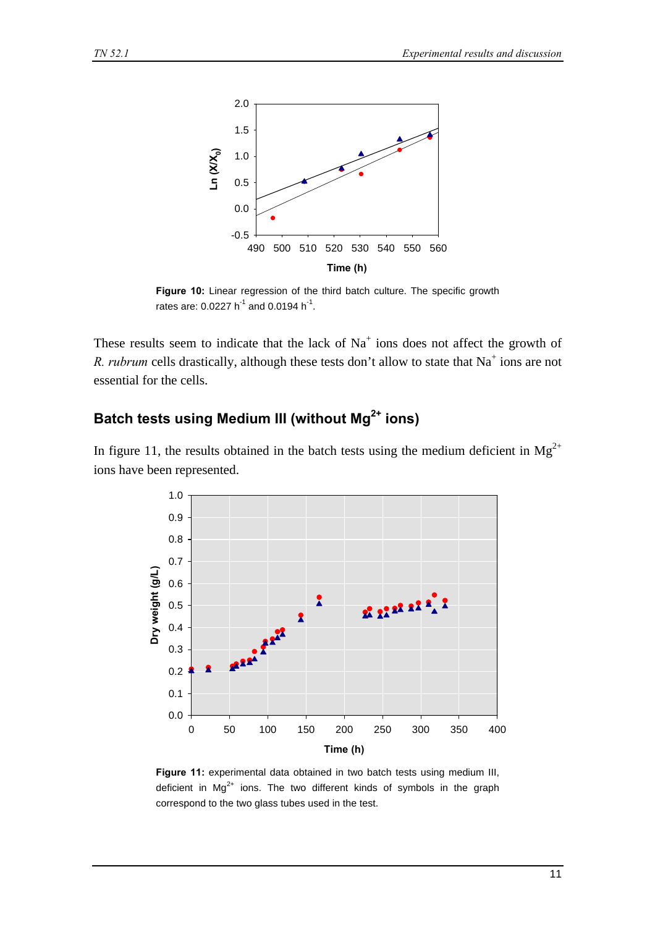

**Figure 10:** Linear regression of the third batch culture. The specific growth rates are: 0.0227 h<sup>-1</sup> and 0.0194 h<sup>-1</sup>.

These results seem to indicate that the lack of  $Na<sup>+</sup>$  ions does not affect the growth of *R. rubrum* cells drastically, although these tests don't allow to state that  $Na<sup>+</sup>$  ions are not essential for the cells.

## **Batch tests using Medium III (without Mg2+ ions)**

In figure 11, the results obtained in the batch tests using the medium deficient in  $Mg^{2+}$ ions have been represented.



**Figure 11:** experimental data obtained in two batch tests using medium III, deficient in  $Mg^{2+}$  ions. The two different kinds of symbols in the graph correspond to the two glass tubes used in the test.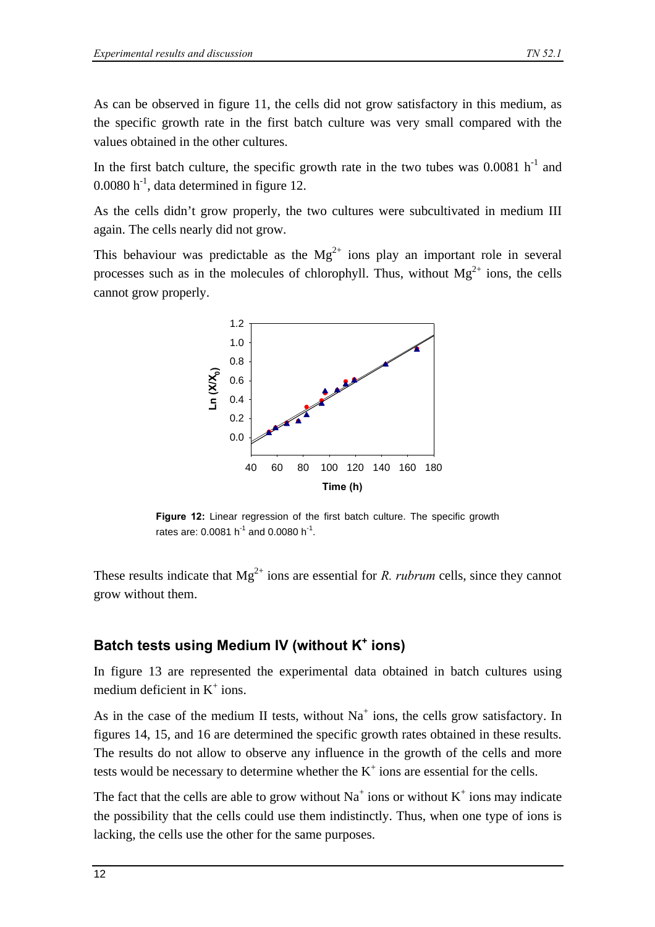As can be observed in figure 11, the cells did not grow satisfactory in this medium, as the specific growth rate in the first batch culture was very small compared with the values obtained in the other cultures.

In the first batch culture, the specific growth rate in the two tubes was  $0.0081$  h<sup>-1</sup> and  $0.0080$  h<sup>-1</sup>, data determined in figure 12.

As the cells didn't grow properly, the two cultures were subcultivated in medium III again. The cells nearly did not grow.

This behaviour was predictable as the  $Mg^{2+}$  ions play an important role in several processes such as in the molecules of chlorophyll. Thus, without  $Mg^{2+}$  ions, the cells cannot grow properly.



**Figure 12:** Linear regression of the first batch culture. The specific growth rates are: 0.0081 h<sup>-1</sup> and 0.0080 h<sup>-1</sup>.

These results indicate that  $Mg^{2+}$  ions are essential for *R. rubrum* cells, since they cannot grow without them.

#### **Batch tests using Medium IV (without K<sup>+</sup> ions)**

In figure 13 are represented the experimental data obtained in batch cultures using medium deficient in  $K^+$  ions.

As in the case of the medium II tests, without  $Na<sup>+</sup>$  ions, the cells grow satisfactory. In figures 14, 15, and 16 are determined the specific growth rates obtained in these results. The results do not allow to observe any influence in the growth of the cells and more tests would be necessary to determine whether the  $K^+$  ions are essential for the cells.

The fact that the cells are able to grow without  $Na^+$  ions or without  $K^+$  ions may indicate the possibility that the cells could use them indistinctly. Thus, when one type of ions is lacking, the cells use the other for the same purposes.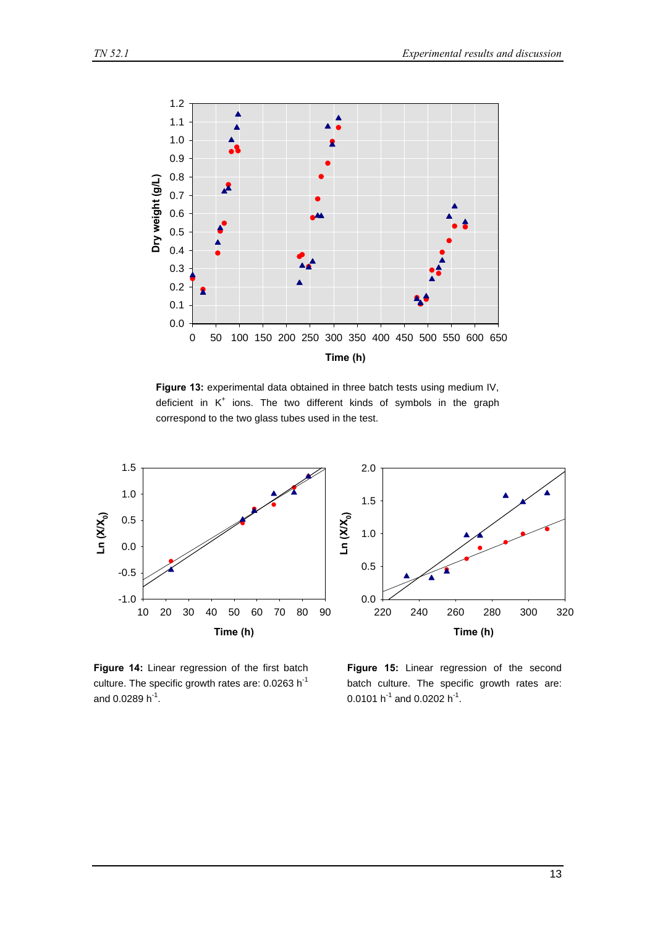

**Figure 13:** experimental data obtained in three batch tests using medium IV, deficient in  $K^+$  ions. The two different kinds of symbols in the graph correspond to the two glass tubes used in the test.







**Time (h)** 220 240 260 280 300 320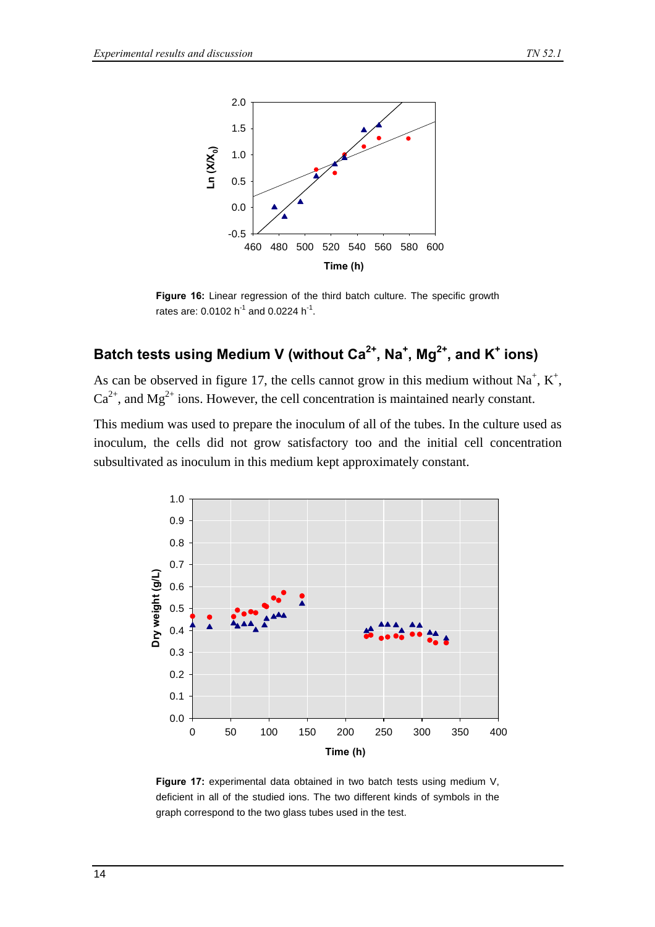

**Figure 16:** Linear regression of the third batch culture. The specific growth rates are:  $0.0102 h^{-1}$  and  $0.0224 h^{-1}$ .

## **Batch tests using Medium V (without Ca2+, Na<sup>+</sup> , Mg2+, and K<sup>+</sup> ions)**

As can be observed in figure 17, the cells cannot grow in this medium without  $Na^+$ ,  $K^+$ ,  $Ca^{2+}$ , and Mg<sup>2+</sup> ions. However, the cell concentration is maintained nearly constant.

This medium was used to prepare the inoculum of all of the tubes. In the culture used as inoculum, the cells did not grow satisfactory too and the initial cell concentration subsultivated as inoculum in this medium kept approximately constant.



**Figure 17:** experimental data obtained in two batch tests using medium V, deficient in all of the studied ions. The two different kinds of symbols in the graph correspond to the two glass tubes used in the test.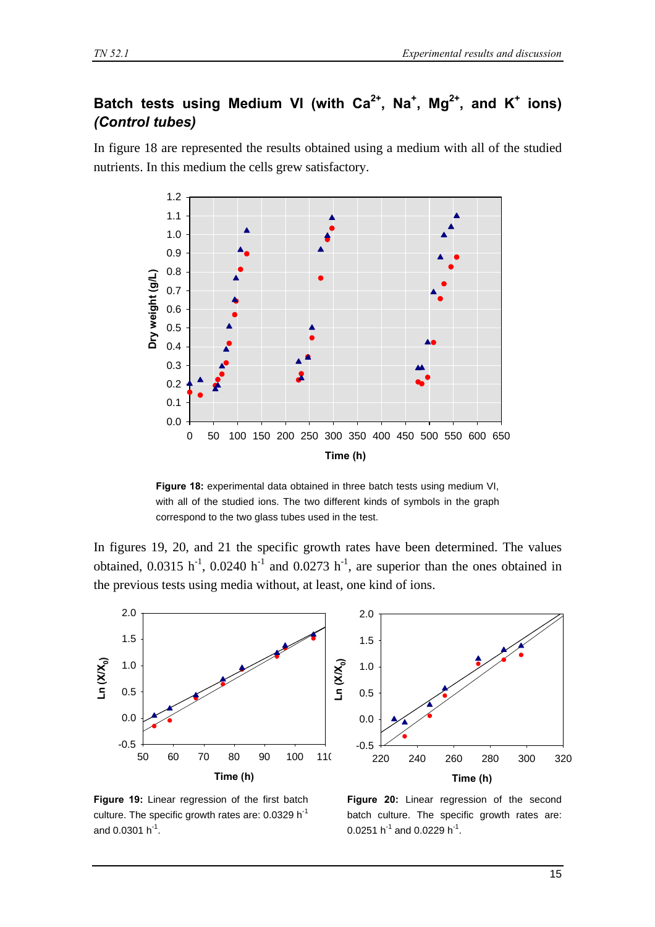## Batch tests using Medium VI (with Ca<sup>2+</sup>, Na<sup>+</sup>, Mg<sup>2+</sup>, and K<sup>+</sup> ions) *(Control tubes)*

In figure 18 are represented the results obtained using a medium with all of the studied nutrients. In this medium the cells grew satisfactory.



**Figure 18:** experimental data obtained in three batch tests using medium VI, with all of the studied ions. The two different kinds of symbols in the graph correspond to the two glass tubes used in the test.

In figures 19, 20, and 21 the specific growth rates have been determined. The values obtained,  $0.0315$  h<sup>-1</sup>,  $0.0240$  h<sup>-1</sup> and  $0.0273$  h<sup>-1</sup>, are superior than the ones obtained in the previous tests using media without, at least, one kind of ions.



**Figure 19:** Linear regression of the first batch culture. The specific growth rates are: 0.0329 h<sup>-1</sup> and 0.0301  $h^{-1}$ .

**Figure 20:** Linear regression of the second batch culture. The specific growth rates are:  $0.0251$  h $^{-1}$  and  $0.0229$  h $^{-1}$ .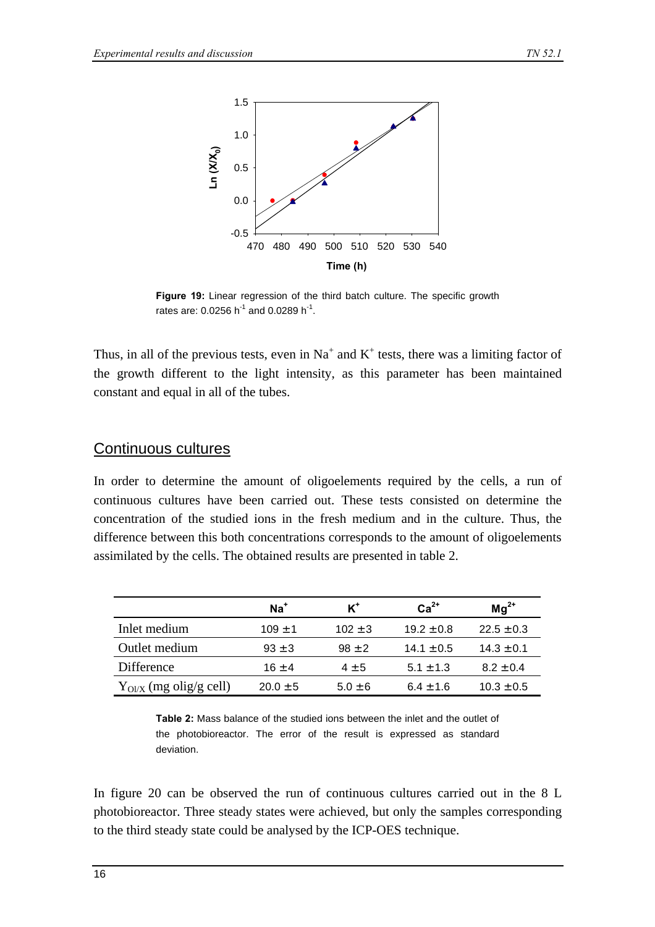

**Figure 19:** Linear regression of the third batch culture. The specific growth rates are: 0.0256 h<sup>-1</sup> and 0.0289 h<sup>-1</sup>.

Thus, in all of the previous tests, even in  $Na^+$  and  $K^+$  tests, there was a limiting factor of the growth different to the light intensity, as this parameter has been maintained constant and equal in all of the tubes.

#### Continuous cultures

In order to determine the amount of oligoelements required by the cells, a run of continuous cultures have been carried out. These tests consisted on determine the concentration of the studied ions in the fresh medium and in the culture. Thus, the difference between this both concentrations corresponds to the amount of oligoelements assimilated by the cells. The obtained results are presented in table 2.

|                            | $Na+$        | $\kappa^*$  | $Ca2+$         | $Mg^{2+}$      |
|----------------------------|--------------|-------------|----------------|----------------|
| Inlet medium               | $109 \pm 1$  | $102 \pm 3$ | $19.2 \pm 0.8$ | $22.5 \pm 0.3$ |
| Outlet medium              | $93 \pm 3$   | $98 \pm 2$  | $14.1 \pm 0.5$ | $14.3 \pm 0.1$ |
| Difference                 | $16 \pm 4$   | $4 \pm 5$   | $5.1 \pm 1.3$  | $8.2 \pm 0.4$  |
| $Y_{QIX}$ (mg olig/g cell) | $20.0 \pm 5$ | $5.0 \pm 6$ | $6.4 \pm 1.6$  | $10.3 \pm 0.5$ |

**Table 2:** Mass balance of the studied ions between the inlet and the outlet of the photobioreactor. The error of the result is expressed as standard deviation.

In figure 20 can be observed the run of continuous cultures carried out in the 8 L photobioreactor. Three steady states were achieved, but only the samples corresponding to the third steady state could be analysed by the ICP-OES technique.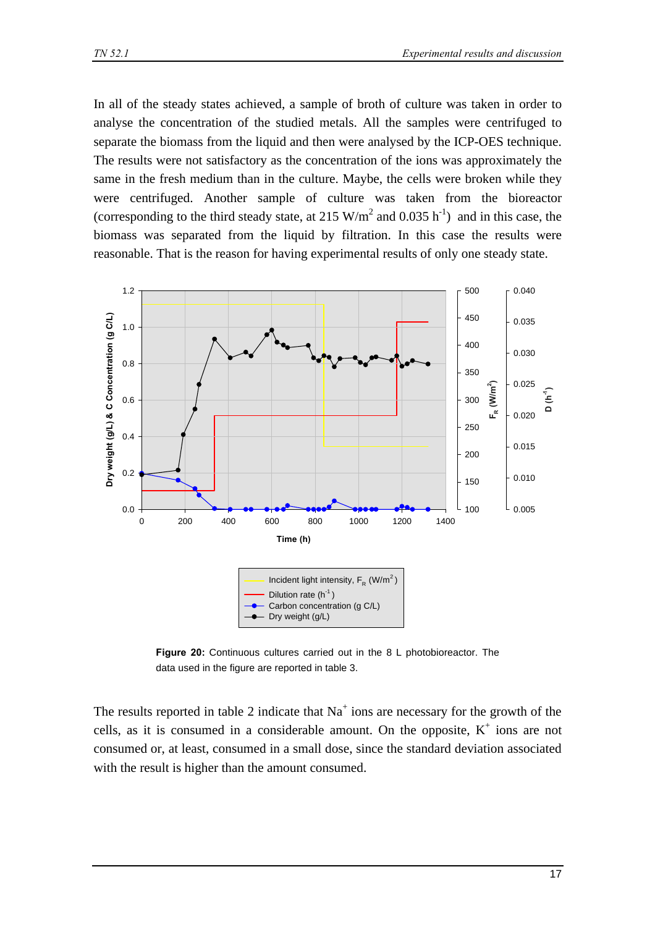In all of the steady states achieved, a sample of broth of culture was taken in order to analyse the concentration of the studied metals. All the samples were centrifuged to separate the biomass from the liquid and then were analysed by the ICP-OES technique. The results were not satisfactory as the concentration of the ions was approximately the same in the fresh medium than in the culture. Maybe, the cells were broken while they were centrifuged. Another sample of culture was taken from the bioreactor (corresponding to the third steady state, at 215 W/m<sup>2</sup> and 0.035 h<sup>-1</sup>) and in this case, the biomass was separated from the liquid by filtration. In this case the results were reasonable. That is the reason for having experimental results of only one steady state.



**Figure 20:** Continuous cultures carried out in the 8 L photobioreactor. The data used in the figure are reported in table 3.

The results reported in table 2 indicate that  $Na<sup>+</sup>$  ions are necessary for the growth of the cells, as it is consumed in a considerable amount. On the opposite,  $K^+$  ions are not consumed or, at least, consumed in a small dose, since the standard deviation associated with the result is higher than the amount consumed.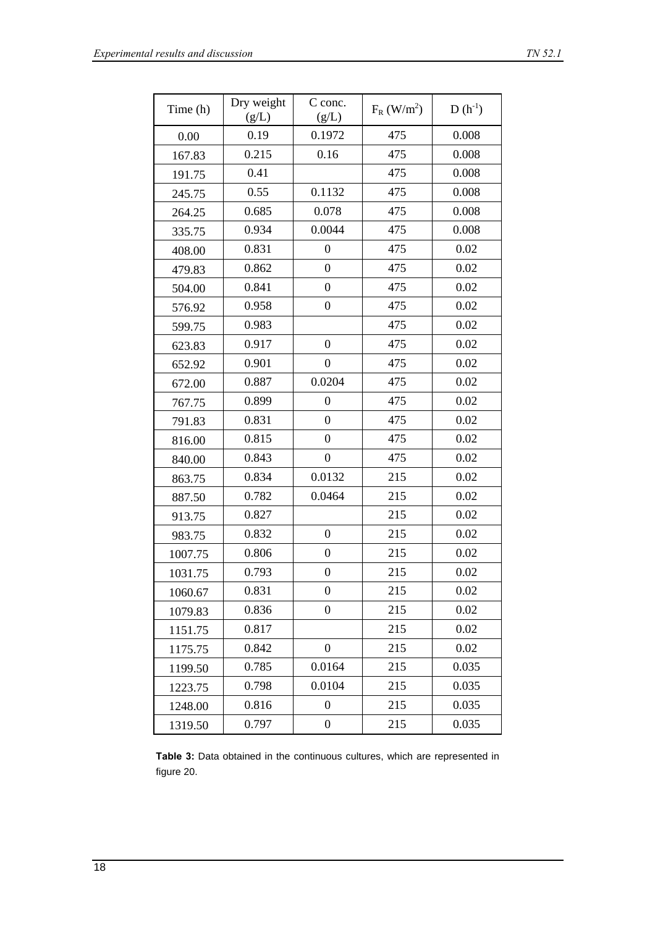| Time (h) | Dry weight<br>(g/L) | C conc.<br>(g/L) | $F_R$ (W/m <sup>2</sup> ) | $D(h^{-1})$ |
|----------|---------------------|------------------|---------------------------|-------------|
| 0.00     | 0.19                | 0.1972           | 475                       | 0.008       |
| 167.83   | 0.215               | 0.16             | 475                       | 0.008       |
| 191.75   | 0.41                |                  | 475                       | 0.008       |
| 245.75   | 0.55                | 0.1132           | 475                       | 0.008       |
| 264.25   | 0.685               | 0.078            | 475                       | 0.008       |
| 335.75   | 0.934               | 0.0044           | 475                       | 0.008       |
| 408.00   | 0.831               | $\boldsymbol{0}$ | 475                       | 0.02        |
| 479.83   | 0.862               | $\boldsymbol{0}$ | 475                       | 0.02        |
| 504.00   | 0.841               | $\boldsymbol{0}$ | 475                       | 0.02        |
| 576.92   | 0.958               | $\boldsymbol{0}$ | 475                       | 0.02        |
| 599.75   | 0.983               |                  | 475                       | 0.02        |
| 623.83   | 0.917               | $\boldsymbol{0}$ | 475                       | 0.02        |
| 652.92   | 0.901               | $\boldsymbol{0}$ | 475                       | 0.02        |
| 672.00   | 0.887               | 0.0204           | 475                       | 0.02        |
| 767.75   | 0.899               | $\boldsymbol{0}$ | 475                       | 0.02        |
| 791.83   | 0.831               | $\boldsymbol{0}$ | 475                       | 0.02        |
| 816.00   | 0.815               | 0                | 475                       | 0.02        |
| 840.00   | 0.843               | $\boldsymbol{0}$ | 475                       | 0.02        |
| 863.75   | 0.834               | 0.0132           | 215                       | 0.02        |
| 887.50   | 0.782               | 0.0464           | 215                       | 0.02        |
| 913.75   | 0.827               |                  | 215                       | 0.02        |
| 983.75   | 0.832               | $\overline{0}$   | 215                       | 0.02        |
| 1007.75  | 0.806               | $\boldsymbol{0}$ | 215                       | 0.02        |
| 1031.75  | 0.793               | $\boldsymbol{0}$ | 215                       | 0.02        |
| 1060.67  | 0.831               | 0                | 215                       | 0.02        |
| 1079.83  | 0.836               | $\boldsymbol{0}$ | 215                       | 0.02        |
| 1151.75  | 0.817               |                  | 215                       | 0.02        |
| 1175.75  | 0.842               | $\overline{0}$   | 215                       | 0.02        |
| 1199.50  | 0.785               | 0.0164           | 215                       | 0.035       |
| 1223.75  | 0.798               | 0.0104           | 215                       | 0.035       |
| 1248.00  | 0.816               | $\boldsymbol{0}$ | 215                       | 0.035       |
| 1319.50  | 0.797               | $\boldsymbol{0}$ | 215                       | 0.035       |

**Table 3:** Data obtained in the continuous cultures, which are represented in figure 20.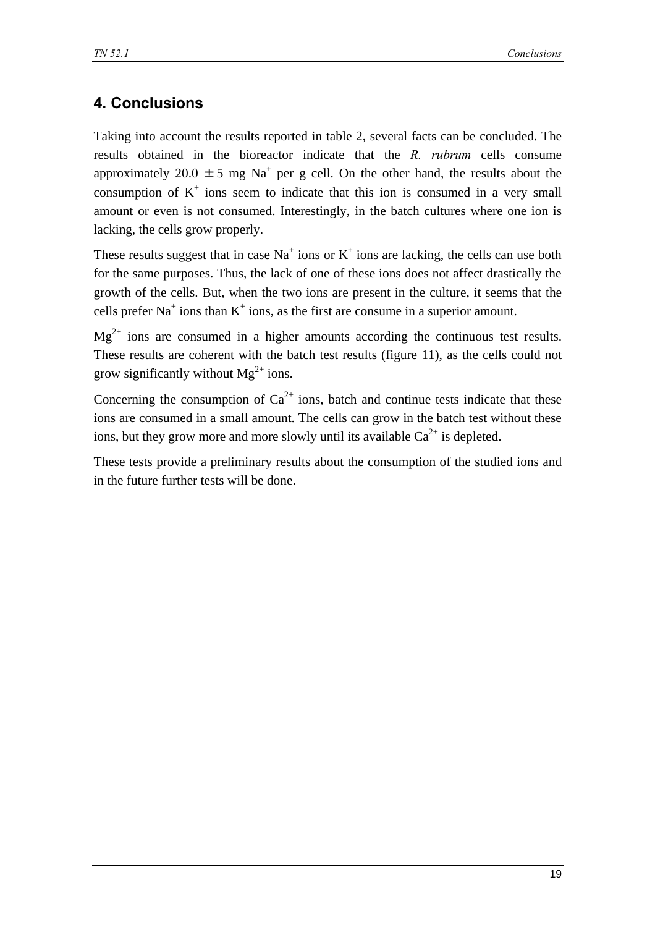## **4. Conclusions**

Taking into account the results reported in table 2, several facts can be concluded. The results obtained in the bioreactor indicate that the *R. rubrum* cells consume approximately 20.0  $\pm$  5 mg Na<sup>+</sup> per g cell. On the other hand, the results about the consumption of  $K^+$  ions seem to indicate that this ion is consumed in a very small amount or even is not consumed. Interestingly, in the batch cultures where one ion is lacking, the cells grow properly.

These results suggest that in case  $Na<sup>+</sup>$  ions or  $K<sup>+</sup>$  ions are lacking, the cells can use both for the same purposes. Thus, the lack of one of these ions does not affect drastically the growth of the cells. But, when the two ions are present in the culture, it seems that the cells prefer Na<sup>+</sup> ions than  $K^+$  ions, as the first are consume in a superior amount.

 $Mg^{2+}$  ions are consumed in a higher amounts according the continuous test results. These results are coherent with the batch test results (figure 11), as the cells could not grow significantly without  $Mg^{2+}$  ions.

Concerning the consumption of  $Ca^{2+}$  ions, batch and continue tests indicate that these ions are consumed in a small amount. The cells can grow in the batch test without these ions, but they grow more and more slowly until its available  $Ca^{2+}$  is depleted.

These tests provide a preliminary results about the consumption of the studied ions and in the future further tests will be done.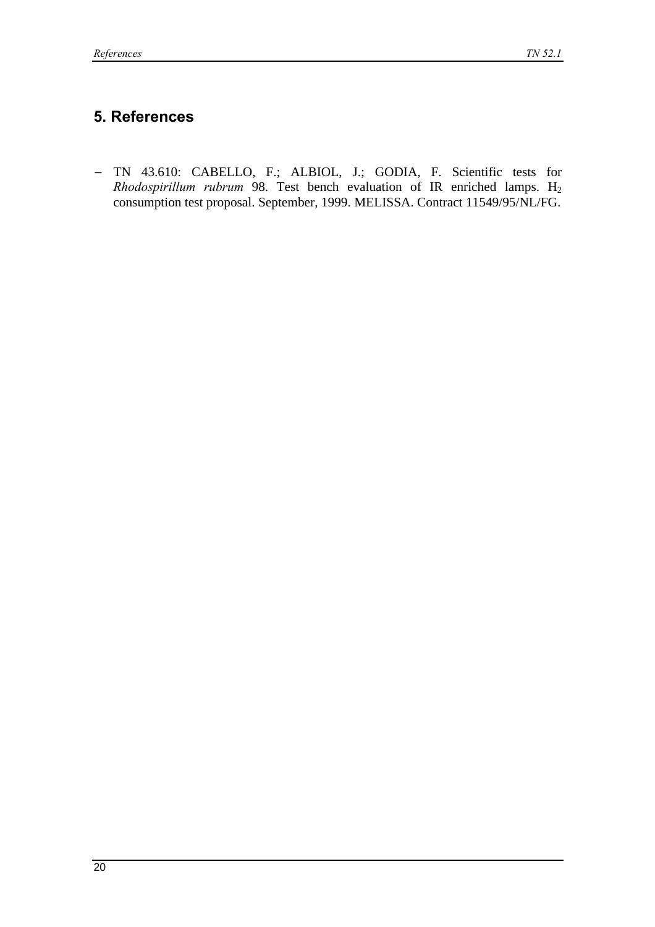## **5. References**

− TN 43.610: CABELLO, F.; ALBIOL, J.; GODIA, F. Scientific tests for *Rhodospirillum rubrum* 98. Test bench evaluation of IR enriched lamps. H<sub>2</sub> consumption test proposal. September, 1999. MELISSA. Contract 11549/95/NL/FG.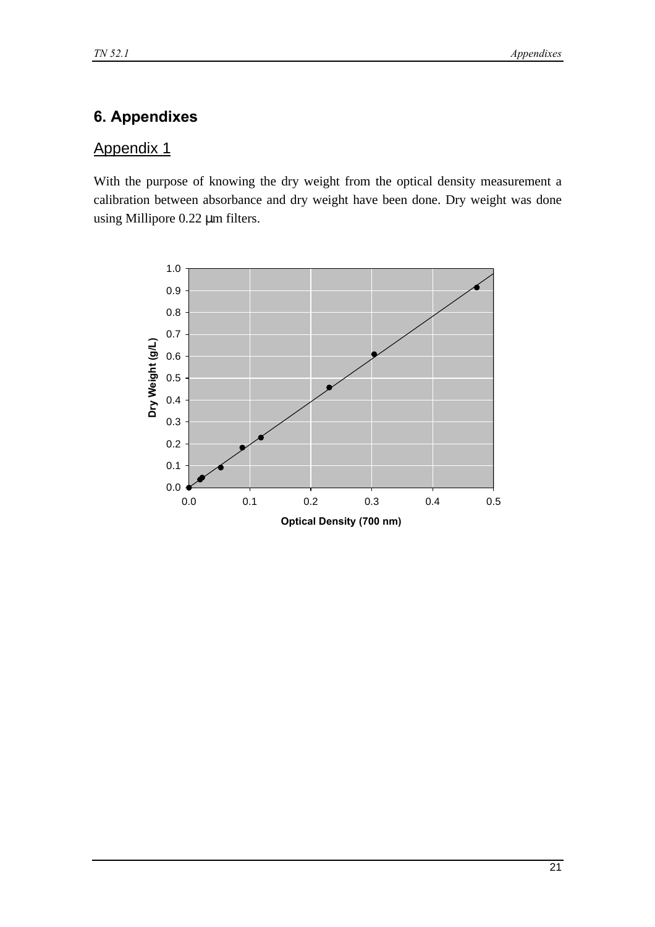## **6. Appendixes**

#### Appendix 1

With the purpose of knowing the dry weight from the optical density measurement a calibration between absorbance and dry weight have been done. Dry weight was done using Millipore 0.22 μm filters.